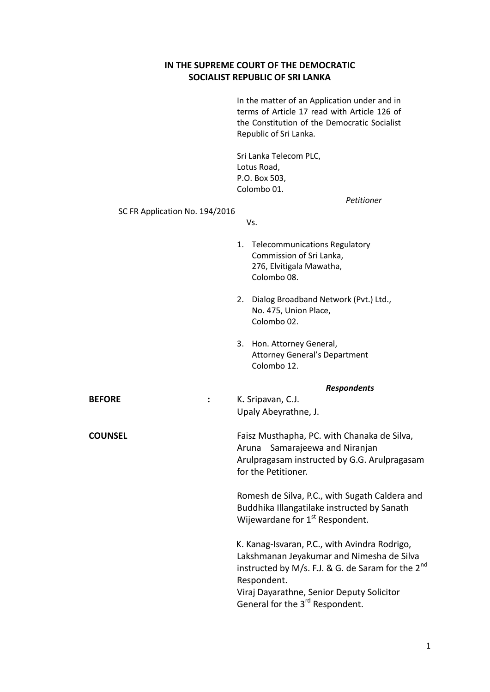## **IN THE SUPREME COURT OF THE DEMOCRATIC SOCIALIST REPUBLIC OF SRI LANKA**

In the matter of an Application under and in terms of Article 17 read with Article 126 of the Constitution of the Democratic Socialist Republic of Sri Lanka.

Sri Lanka Telecom PLC, Lotus Road, P.O. Box 503, Colombo 01.

*Petitioner*

SC FR Application No. 194/2016

Vs.

|                | 1. Telecommunications Regulatory<br>Commission of Sri Lanka,<br>276, Elvitigala Mawatha,<br>Colombo 08.                                                                                                                                                         |  |
|----------------|-----------------------------------------------------------------------------------------------------------------------------------------------------------------------------------------------------------------------------------------------------------------|--|
|                | Dialog Broadband Network (Pvt.) Ltd.,<br>2.<br>No. 475, Union Place,<br>Colombo 02.                                                                                                                                                                             |  |
|                | 3.<br>Hon. Attorney General,<br><b>Attorney General's Department</b><br>Colombo 12.                                                                                                                                                                             |  |
|                | <b>Respondents</b>                                                                                                                                                                                                                                              |  |
| <b>BEFORE</b>  | K. Sripavan, C.J.<br>Upaly Abeyrathne, J.                                                                                                                                                                                                                       |  |
| <b>COUNSEL</b> | Faisz Musthapha, PC. with Chanaka de Silva,<br>Samarajeewa and Niranjan<br>Aruna<br>Arulpragasam instructed by G.G. Arulpragasam<br>for the Petitioner.                                                                                                         |  |
|                | Romesh de Silva, P.C., with Sugath Caldera and<br>Buddhika Illangatilake instructed by Sanath<br>Wijewardane for 1 <sup>st</sup> Respondent.                                                                                                                    |  |
|                | K. Kanag-Isvaran, P.C., with Avindra Rodrigo,<br>Lakshmanan Jeyakumar and Nimesha de Silva<br>instructed by M/s. F.J. & G. de Saram for the $2^{nd}$<br>Respondent.<br>Viraj Dayarathne, Senior Deputy Solicitor<br>General for the 3 <sup>rd</sup> Respondent. |  |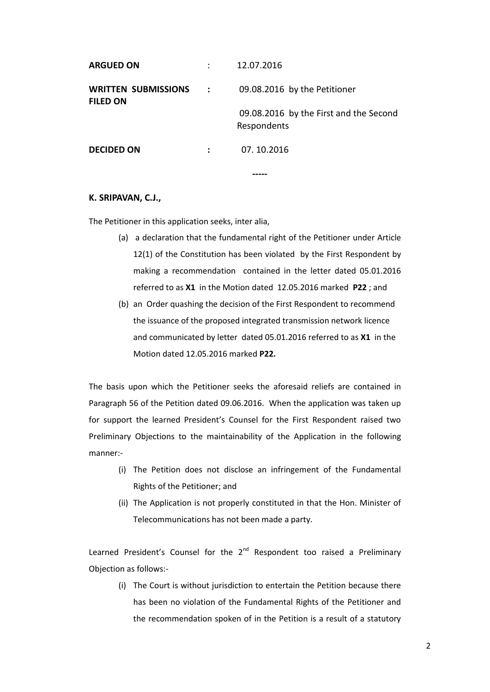| <b>DECIDED ON</b>                             |             | 07.10.2016                                            |
|-----------------------------------------------|-------------|-------------------------------------------------------|
|                                               |             | 09.08.2016 by the First and the Second<br>Respondents |
| <b>WRITTEN SUBMISSIONS</b><br><b>FILED ON</b> | $\sim 1000$ | 09.08.2016 by the Petitioner                          |
| <b>ARGUED ON</b>                              |             | 12.07.2016                                            |

## **K. SRIPAVAN, C.J.,**

The Petitioner in this application seeks, inter alia,

- (a) a declaration that the fundamental right of the Petitioner under Article 12(1) of the Constitution has been violated by the First Respondent by making a recommendation contained in the letter dated 05.01.2016 referred to as **X1** in the Motion dated 12.05.2016 marked **P22** ; and
- (b) an Order quashing the decision of the First Respondent to recommend the issuance of the proposed integrated transmission network licence and communicated by letter dated 05.01.2016 referred to as **X1** in the Motion dated 12.05.2016 marked **P22.**

The basis upon which the Petitioner seeks the aforesaid reliefs are contained in Paragraph 56 of the Petition dated 09.06.2016. When the application was taken up for support the learned President's Counsel for the First Respondent raised two Preliminary Objections to the maintainability of the Application in the following manner:-

- (i) The Petition does not disclose an infringement of the Fundamental Rights of the Petitioner; and
- (ii) The Application is not properly constituted in that the Hon. Minister of Telecommunications has not been made a party.

Learned President's Counsel for the  $2<sup>nd</sup>$  Respondent too raised a Preliminary Objection as follows:-

(i) The Court is without jurisdiction to entertain the Petition because there has been no violation of the Fundamental Rights of the Petitioner and the recommendation spoken of in the Petition is a result of a statutory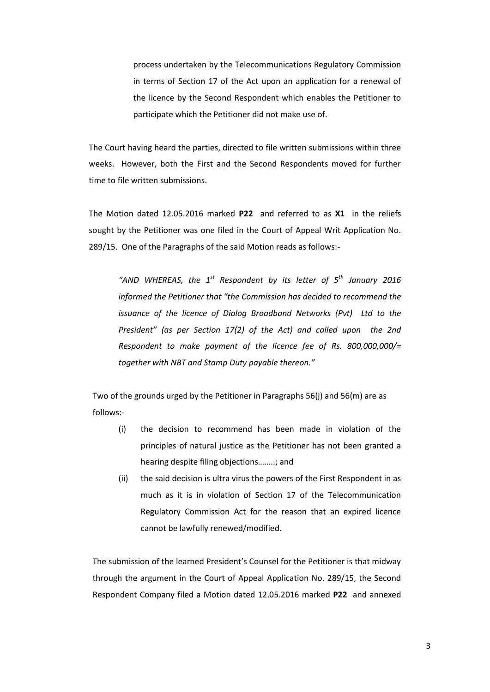process undertaken by the Telecommunications Regulatory Commission in terms of Section 17 of the Act upon an application for a renewal of the licence by the Second Respondent which enables the Petitioner to participate which the Petitioner did not make use of.

The Court having heard the parties, directed to file written submissions within three weeks. However, both the First and the Second Respondents moved for further time to file written submissions.

The Motion dated 12.05.2016 marked **P22** and referred to as **X1** in the reliefs sought by the Petitioner was one filed in the Court of Appeal Writ Application No. 289/15. One of the Paragraphs of the said Motion reads as follows:-

"AND WHEREAS, the 1<sup>st</sup> Respondent by its letter of 5<sup>th</sup> January 2016 *informed the Petitioner that "the Commission has decided to recommend the issuance of the licence of Dialog Broadband Networks (Pvt) Ltd to the President" (as per Section 17(2) of the Act) and called upon the 2nd Respondent to make payment of the licence fee of Rs. 800,000,000/= together with NBT and Stamp Duty payable thereon."*

Two of the grounds urged by the Petitioner in Paragraphs 56(j) and 56(m) are as follows:-

- (i) the decision to recommend has been made in violation of the principles of natural justice as the Petitioner has not been granted a hearing despite filing objections……..; and
- (ii) the said decision is ultra virus the powers of the First Respondent in as much as it is in violation of Section 17 of the Telecommunication Regulatory Commission Act for the reason that an expired licence cannot be lawfully renewed/modified.

The submission of the learned President's Counsel for the Petitioner is that midway through the argument in the Court of Appeal Application No. 289/15, the Second Respondent Company filed a Motion dated 12.05.2016 marked **P22** and annexed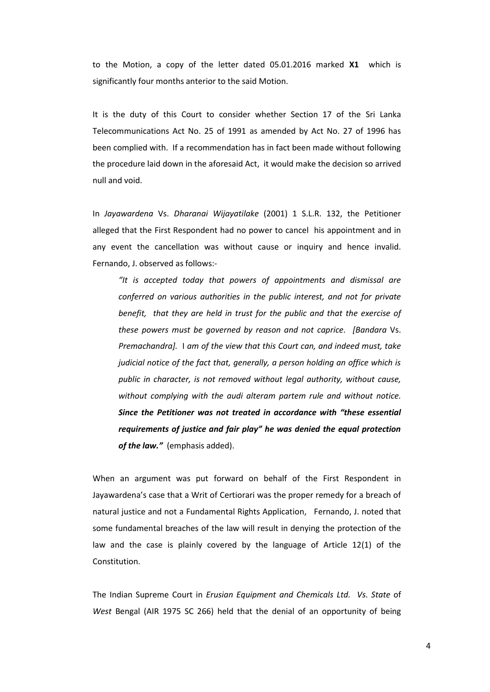to the Motion, a copy of the letter dated 05.01.2016 marked **X1** which is significantly four months anterior to the said Motion.

It is the duty of this Court to consider whether Section 17 of the Sri Lanka Telecommunications Act No. 25 of 1991 as amended by Act No. 27 of 1996 has been complied with. If a recommendation has in fact been made without following the procedure laid down in the aforesaid Act, it would make the decision so arrived null and void.

In *Jayawardena* Vs. *Dharanai Wijayatilake* (2001) 1 S.L.R. 132, the Petitioner alleged that the First Respondent had no power to cancel his appointment and in any event the cancellation was without cause or inquiry and hence invalid. Fernando, J. observed as follows:-

*"It is accepted today that powers of appointments and dismissal are conferred on various authorities in the public interest, and not for private benefit, that they are held in trust for the public and that the exercise of these powers must be governed by reason and not caprice. [Bandara* Vs. *Premachandra].* I *am of the view that this Court can, and indeed must, take judicial notice of the fact that, generally, a person holding an office which is public in character, is not removed without legal authority, without cause, without complying with the audi alteram partem rule and without notice. Since the Petitioner was not treated in accordance with "these essential requirements of justice and fair play" he was denied the equal protection of the law."* (emphasis added).

When an argument was put forward on behalf of the First Respondent in Jayawardena's case that a Writ of Certiorari was the proper remedy for a breach of natural justice and not a Fundamental Rights Application, Fernando, J. noted that some fundamental breaches of the law will result in denying the protection of the law and the case is plainly covered by the language of Article 12(1) of the Constitution.

The Indian Supreme Court in *Erusian Equipment and Chemicals Ltd. Vs. State* of *West* Bengal (AIR 1975 SC 266) held that the denial of an opportunity of being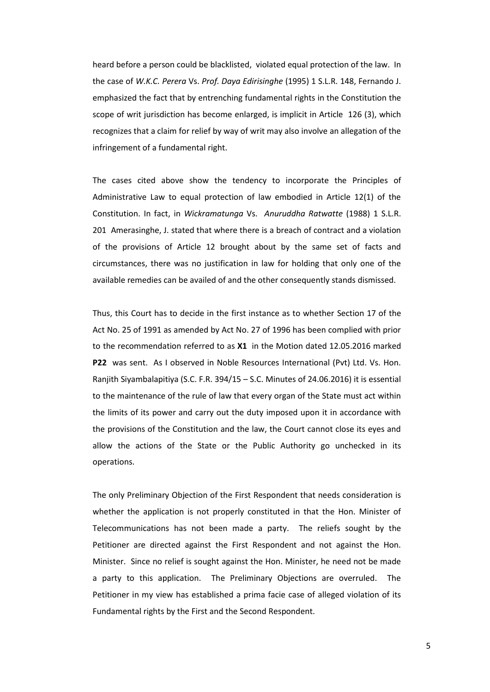heard before a person could be blacklisted, violated equal protection of the law. In the case of *W.K.C. Perera* Vs. *Prof. Daya Edirisinghe* (1995) 1 S.L.R. 148, Fernando J. emphasized the fact that by entrenching fundamental rights in the Constitution the scope of writ jurisdiction has become enlarged, is implicit in Article 126 (3), which recognizes that a claim for relief by way of writ may also involve an allegation of the infringement of a fundamental right.

The cases cited above show the tendency to incorporate the Principles of Administrative Law to equal protection of law embodied in Article 12(1) of the Constitution. In fact, in *Wickramatunga* Vs. *Anuruddha Ratwatte* (1988) 1 S.L.R. 201 Amerasinghe, J. stated that where there is a breach of contract and a violation of the provisions of Article 12 brought about by the same set of facts and circumstances, there was no justification in law for holding that only one of the available remedies can be availed of and the other consequently stands dismissed.

Thus, this Court has to decide in the first instance as to whether Section 17 of the Act No. 25 of 1991 as amended by Act No. 27 of 1996 has been complied with prior to the recommendation referred to as **X1** in the Motion dated 12.05.2016 marked **P22** was sent. As I observed in Noble Resources International (Pvt) Ltd. Vs. Hon. Ranjith Siyambalapitiya (S.C. F.R. 394/15 – S.C. Minutes of 24.06.2016) it is essential to the maintenance of the rule of law that every organ of the State must act within the limits of its power and carry out the duty imposed upon it in accordance with the provisions of the Constitution and the law, the Court cannot close its eyes and allow the actions of the State or the Public Authority go unchecked in its operations.

The only Preliminary Objection of the First Respondent that needs consideration is whether the application is not properly constituted in that the Hon. Minister of Telecommunications has not been made a party. The reliefs sought by the Petitioner are directed against the First Respondent and not against the Hon. Minister. Since no relief is sought against the Hon. Minister, he need not be made a party to this application. The Preliminary Objections are overruled. The Petitioner in my view has established a prima facie case of alleged violation of its Fundamental rights by the First and the Second Respondent.